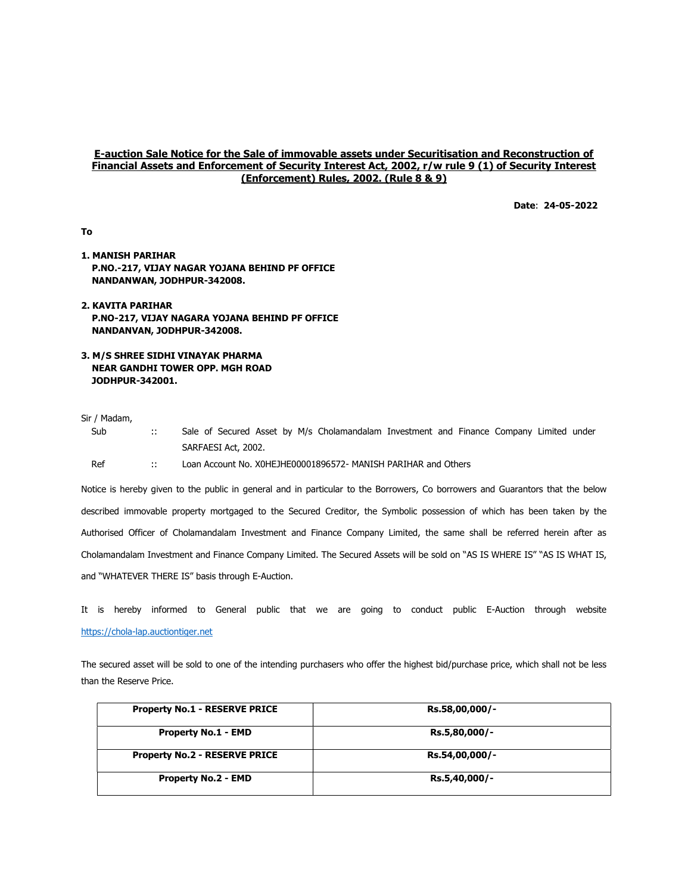## E-auction Sale Notice for the Sale of immovable assets under Securitisation and Reconstruction of Financial Assets and Enforcement of Security Interest Act, 2002, r/w rule 9 (1) of Security Interest (Enforcement) Rules, 2002. (Rule 8 & 9)

Date: 24-05-2022

To

- 1. MANISH PARIHAR P.NO.-217, VIJAY NAGAR YOJANA BEHIND PF OFFICE NANDANWAN, JODHPUR-342008.
- 2. KAVITA PARIHAR P.NO-217, VIJAY NAGARA YOJANA BEHIND PF OFFICE NANDANVAN, JODHPUR-342008.
- 3. M/S SHREE SIDHI VINAYAK PHARMA NEAR GANDHI TOWER OPP. MGH ROAD JODHPUR-342001.

## Sir / Madam,

Sub :: Sale of Secured Asset by M/s Cholamandalam Investment and Finance Company Limited under SARFAESI Act, 2002.

Ref :: Loan Account No. X0HEJHE00001896572- MANISH PARIHAR and Others

Notice is hereby given to the public in general and in particular to the Borrowers, Co borrowers and Guarantors that the below described immovable property mortgaged to the Secured Creditor, the Symbolic possession of which has been taken by the Authorised Officer of Cholamandalam Investment and Finance Company Limited, the same shall be referred herein after as Cholamandalam Investment and Finance Company Limited. The Secured Assets will be sold on "AS IS WHERE IS" "AS IS WHAT IS, and "WHATEVER THERE IS" basis through E-Auction.

It is hereby informed to General public that we are going to conduct public E-Auction through website https://chola-lap.auctiontiger.net

The secured asset will be sold to one of the intending purchasers who offer the highest bid/purchase price, which shall not be less than the Reserve Price.

| <b>Property No.1 - RESERVE PRICE</b> | Rs.58,00,000/- |  |
|--------------------------------------|----------------|--|
| <b>Property No.1 - EMD</b>           | Rs.5,80,000/-  |  |
| <b>Property No.2 - RESERVE PRICE</b> | Rs.54,00,000/- |  |
| <b>Property No.2 - EMD</b>           | Rs.5,40,000/-  |  |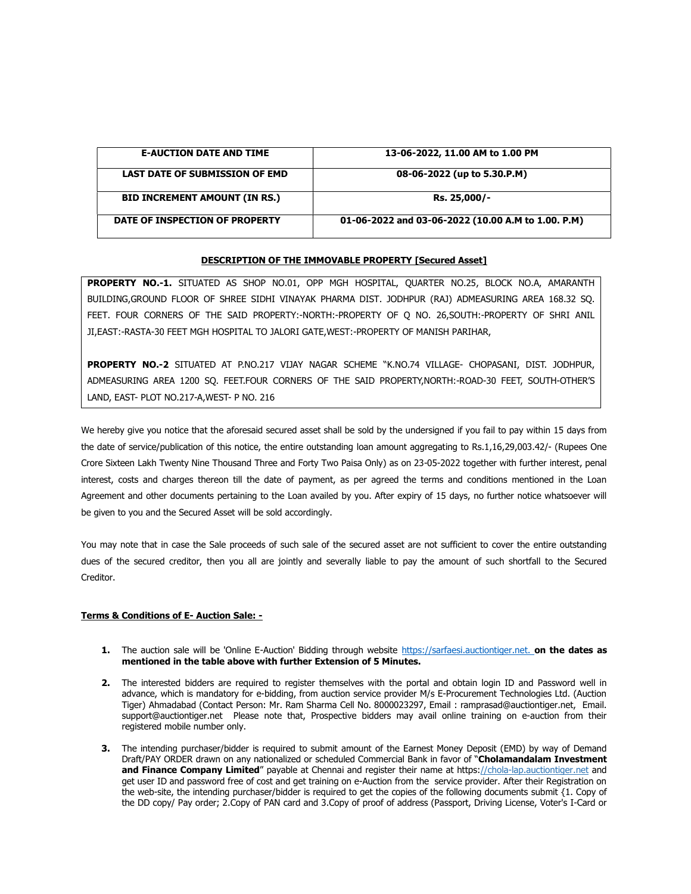| <b>E-AUCTION DATE AND TIME</b>        | 13-06-2022, 11.00 AM to 1.00 PM                    |
|---------------------------------------|----------------------------------------------------|
| <b>LAST DATE OF SUBMISSION OF EMD</b> | 08-06-2022 (up to 5.30.P.M)                        |
| <b>BID INCREMENT AMOUNT (IN RS.)</b>  | Rs. 25,000/-                                       |
| DATE OF INSPECTION OF PROPERTY        | 01-06-2022 and 03-06-2022 (10.00 A.M to 1.00. P.M) |

## DESCRIPTION OF THE IMMOVABLE PROPERTY [Secured Asset]

PROPERTY NO.-1. SITUATED AS SHOP NO.01, OPP MGH HOSPITAL, QUARTER NO.25, BLOCK NO.A, AMARANTH BUILDING,GROUND FLOOR OF SHREE SIDHI VINAYAK PHARMA DIST. JODHPUR (RAJ) ADMEASURING AREA 168.32 SQ. FEET. FOUR CORNERS OF THE SAID PROPERTY:-NORTH:-PROPERTY OF Q NO. 26,SOUTH:-PROPERTY OF SHRI ANIL JI,EAST:-RASTA-30 FEET MGH HOSPITAL TO JALORI GATE,WEST:-PROPERTY OF MANISH PARIHAR,

PROPERTY NO.-2 SITUATED AT P.NO.217 VIJAY NAGAR SCHEME "K.NO.74 VILLAGE- CHOPASANI, DIST. JODHPUR, ADMEASURING AREA 1200 SQ. FEET.FOUR CORNERS OF THE SAID PROPERTY,NORTH:-ROAD-30 FEET, SOUTH-OTHER'S LAND, EAST- PLOT NO.217-A,WEST- P NO. 216

We hereby give you notice that the aforesaid secured asset shall be sold by the undersigned if you fail to pay within 15 days from the date of service/publication of this notice, the entire outstanding loan amount aggregating to Rs.1,16,29,003.42/- (Rupees One Crore Sixteen Lakh Twenty Nine Thousand Three and Forty Two Paisa Only) as on 23-05-2022 together with further interest, penal interest, costs and charges thereon till the date of payment, as per agreed the terms and conditions mentioned in the Loan Agreement and other documents pertaining to the Loan availed by you. After expiry of 15 days, no further notice whatsoever will be given to you and the Secured Asset will be sold accordingly.

You may note that in case the Sale proceeds of such sale of the secured asset are not sufficient to cover the entire outstanding dues of the secured creditor, then you all are jointly and severally liable to pay the amount of such shortfall to the Secured Creditor.

## Terms & Conditions of E- Auction Sale: -

- 1. The auction sale will be 'Online E-Auction' Bidding through website https://sarfaesi.auctiontiger.net. on the dates as mentioned in the table above with further Extension of 5 Minutes.
- 2. The interested bidders are required to register themselves with the portal and obtain login ID and Password well in advance, which is mandatory for e-bidding, from auction service provider M/s E-Procurement Technologies Ltd. (Auction Tiger) Ahmadabad (Contact Person: Mr. Ram Sharma Cell No. 8000023297, Email : ramprasad@auctiontiger.net, Email. support@auctiontiger.net Please note that, Prospective bidders may avail online training on e-auction from their registered mobile number only.
- **3.** The intending purchaser/bidder is required to submit amount of the Earnest Money Deposit (EMD) by way of Demand Draft/PAY ORDER drawn on any nationalized or scheduled Commercial Bank in favor of "Cholamandalam Investment and Finance Company Limited" payable at Chennai and register their name at https://chola-lap.auctiontiger.net and get user ID and password free of cost and get training on e-Auction from the service provider. After their Registration on the web-site, the intending purchaser/bidder is required to get the copies of the following documents submit {1. Copy of the DD copy/ Pay order; 2.Copy of PAN card and 3.Copy of proof of address (Passport, Driving License, Voter's I-Card or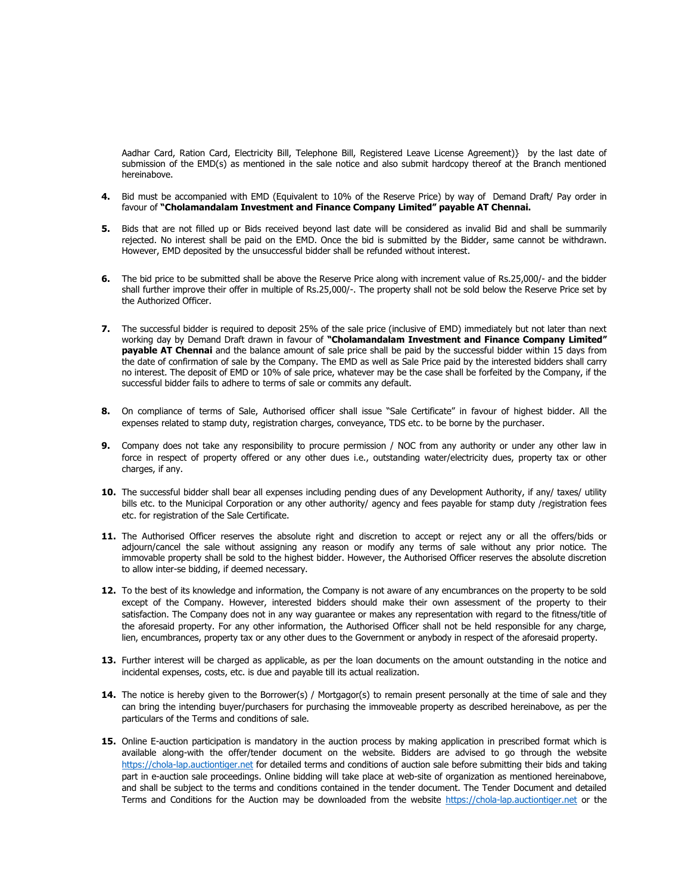Aadhar Card, Ration Card, Electricity Bill, Telephone Bill, Registered Leave License Agreement)} by the last date of submission of the EMD(s) as mentioned in the sale notice and also submit hardcopy thereof at the Branch mentioned hereinabove.

- 4. Bid must be accompanied with EMD (Equivalent to 10% of the Reserve Price) by way of Demand Draft/ Pay order in favour of "Cholamandalam Investment and Finance Company Limited" payable AT Chennai.
- 5. Bids that are not filled up or Bids received beyond last date will be considered as invalid Bid and shall be summarily rejected. No interest shall be paid on the EMD. Once the bid is submitted by the Bidder, same cannot be withdrawn. However, EMD deposited by the unsuccessful bidder shall be refunded without interest.
- 6. The bid price to be submitted shall be above the Reserve Price along with increment value of Rs.25,000/- and the bidder shall further improve their offer in multiple of Rs.25,000/-. The property shall not be sold below the Reserve Price set by the Authorized Officer.
- 7. The successful bidder is required to deposit 25% of the sale price (inclusive of EMD) immediately but not later than next working day by Demand Draft drawn in favour of "Cholamandalam Investment and Finance Company Limited" payable AT Chennai and the balance amount of sale price shall be paid by the successful bidder within 15 days from the date of confirmation of sale by the Company. The EMD as well as Sale Price paid by the interested bidders shall carry no interest. The deposit of EMD or 10% of sale price, whatever may be the case shall be forfeited by the Company, if the successful bidder fails to adhere to terms of sale or commits any default.
- 8. On compliance of terms of Sale, Authorised officer shall issue "Sale Certificate" in favour of highest bidder. All the expenses related to stamp duty, registration charges, conveyance, TDS etc. to be borne by the purchaser.
- 9. Company does not take any responsibility to procure permission / NOC from any authority or under any other law in force in respect of property offered or any other dues i.e., outstanding water/electricity dues, property tax or other charges, if any.
- 10. The successful bidder shall bear all expenses including pending dues of any Development Authority, if any/ taxes/ utility bills etc. to the Municipal Corporation or any other authority/ agency and fees payable for stamp duty /registration fees etc. for registration of the Sale Certificate.
- 11. The Authorised Officer reserves the absolute right and discretion to accept or reject any or all the offers/bids or adjourn/cancel the sale without assigning any reason or modify any terms of sale without any prior notice. The immovable property shall be sold to the highest bidder. However, the Authorised Officer reserves the absolute discretion to allow inter-se bidding, if deemed necessary.
- 12. To the best of its knowledge and information, the Company is not aware of any encumbrances on the property to be sold except of the Company. However, interested bidders should make their own assessment of the property to their satisfaction. The Company does not in any way guarantee or makes any representation with regard to the fitness/title of the aforesaid property. For any other information, the Authorised Officer shall not be held responsible for any charge, lien, encumbrances, property tax or any other dues to the Government or anybody in respect of the aforesaid property.
- 13. Further interest will be charged as applicable, as per the loan documents on the amount outstanding in the notice and incidental expenses, costs, etc. is due and payable till its actual realization.
- 14. The notice is hereby given to the Borrower(s) / Mortgagor(s) to remain present personally at the time of sale and they can bring the intending buyer/purchasers for purchasing the immoveable property as described hereinabove, as per the particulars of the Terms and conditions of sale.
- 15. Online E-auction participation is mandatory in the auction process by making application in prescribed format which is available along-with the offer/tender document on the website. Bidders are advised to go through the website https://chola-lap.auctiontiger.net for detailed terms and conditions of auction sale before submitting their bids and taking part in e-auction sale proceedings. Online bidding will take place at web-site of organization as mentioned hereinabove, and shall be subject to the terms and conditions contained in the tender document. The Tender Document and detailed Terms and Conditions for the Auction may be downloaded from the website https://chola-lap.auctiontiger.net or the